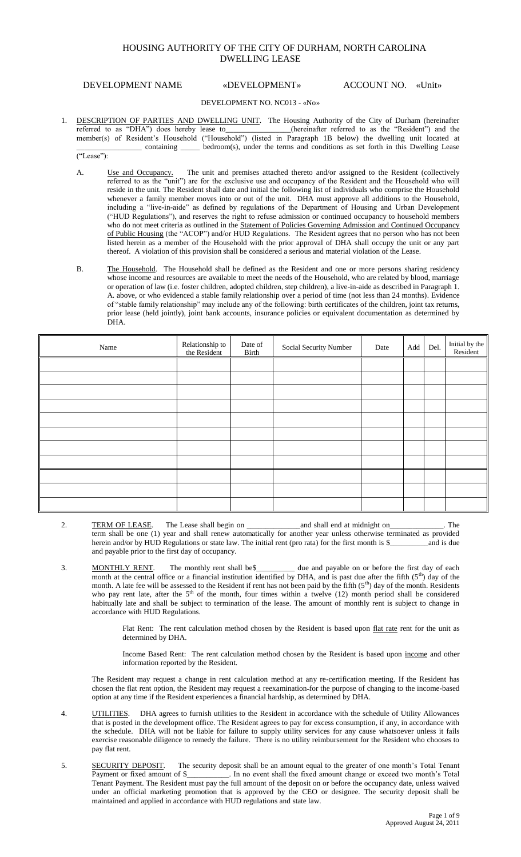# HOUSING AUTHORITY OF THE CITY OF DURHAM, NORTH CAROLINA DWELLING LEASE

## DEVELOPMENT NAME «DEVELOPMENT» ACCOUNT NO. «Unit»

### DEVELOPMENT NO. NC013 - «No»

- 1. DESCRIPTION OF PARTIES AND DWELLING UNIT. The Housing Authority of the City of Durham (hereinafter referred to as "DHA") does hereby lease to (hereinafter referred to as the "Resident") and the (hereinafter referred to as the "Resident") and the member(s) of Resident's Household ("Household") (listed in Paragraph 1B below) the dwelling unit located at \_\_\_\_\_\_\_\_\_\_\_\_\_\_\_\_\_ containing \_\_\_\_\_ bedroom(s), under the terms and conditions as set forth in this Dwelling Lease
	- ("Lease"):
	- A. Use and Occupancy. The unit and premises attached thereto and/or assigned to the Resident (collectively referred to as the "unit") are for the exclusive use and occupancy of the Resident and the Household who will reside in the unit. The Resident shall date and initial the following list of individuals who comprise the Household whenever a family member moves into or out of the unit. DHA must approve all additions to the Household, including a "live-in-aide" as defined by regulations of the Department of Housing and Urban Development ("HUD Regulations"), and reserves the right to refuse admission or continued occupancy to household members who do not meet criteria as outlined in the Statement of Policies Governing Admission and Continued Occupancy of Public Housing (the "ACOP") and/or HUD Regulations. The Resident agrees that no person who has not been listed herein as a member of the Household with the prior approval of DHA shall occupy the unit or any part thereof. A violation of this provision shall be considered a serious and material violation of the Lease.
	- B. The Household. The Household shall be defined as the Resident and one or more persons sharing residency whose income and resources are available to meet the needs of the Household, who are related by blood, marriage or operation of law (i.e. foster children, adopted children, step children), a live-in-aide as described in Paragraph 1. A. above, or who evidenced a stable family relationship over a period of time (not less than 24 months). Evidence of "stable family relationship" may include any of the following: birth certificates of the children, joint tax returns, prior lease (held jointly), joint bank accounts, insurance policies or equivalent documentation as determined by DHA.

| Name | Relationship to<br>the Resident | Date of<br>Birth | Social Security Number | Date | Add | Del. | Initial by the<br>Resident |
|------|---------------------------------|------------------|------------------------|------|-----|------|----------------------------|
|      |                                 |                  |                        |      |     |      |                            |
|      |                                 |                  |                        |      |     |      |                            |
|      |                                 |                  |                        |      |     |      |                            |
|      |                                 |                  |                        |      |     |      |                            |
|      |                                 |                  |                        |      |     |      |                            |
|      |                                 |                  |                        |      |     |      |                            |
|      |                                 |                  |                        |      |     |      |                            |
|      |                                 |                  |                        |      |     |      |                            |
|      |                                 |                  |                        |      |     |      |                            |
|      |                                 |                  |                        |      |     |      |                            |
|      |                                 |                  |                        |      |     |      |                            |

- 2. TERM OF LEASE. The Lease shall begin on \_\_\_\_\_\_\_\_\_\_\_\_\_\_and shall end at midnight on\_\_\_\_\_\_\_\_\_\_\_\_\_\_. The term shall be one (1) year and shall renew automatically for another year unless otherwise terminated as provided herein and/or by HUD Regulations or state law. The initial rent (pro rata) for the first month is \$\_\_\_\_\_\_\_\_\_\_\_\_\_\_\_\_\_and is due and payable prior to the first day of occupancy.
- 3. MONTHLY RENT. The monthly rent shall be seed to and payable on or before the first day of each month at the central office or a financial institution identified by DHA, and is past due after the fifth  $(5<sup>th</sup>)$  day of the month. A late fee will be assessed to the Resident if rent has not been paid by the fifth  $(5<sup>th</sup>)$  day of the month. Residents who pay rent late, after the  $5<sup>th</sup>$  of the month, four times within a twelve (12) month period shall be considered habitually late and shall be subject to termination of the lease. The amount of monthly rent is subject to change in accordance with HUD Regulations.

Flat Rent: The rent calculation method chosen by the Resident is based upon flat rate rent for the unit as determined by DHA.

 Income Based Rent: The rent calculation method chosen by the Resident is based upon income and other information reported by the Resident.

The Resident may request a change in rent calculation method at any re-certification meeting. If the Resident has chosen the flat rent option, the Resident may request a reexamination for the purpose of changing to the income-based option at any time if the Resident experiences a financial hardship, as determined by DHA.

- 4. UTILITIES. DHA agrees to furnish utilities to the Resident in accordance with the schedule of Utility Allowances that is posted in the development office. The Resident agrees to pay for excess consumption, if any, in accordance with the schedule. DHA will not be liable for failure to supply utility services for any cause whatsoever unless it fails exercise reasonable diligence to remedy the failure. There is no utility reimbursement for the Resident who chooses to pay flat rent.
- 5. SECURITY DEPOSIT. The security deposit shall be an amount equal to the greater of one month's Total Tenant Payment or fixed amount of \$\_\_\_\_\_\_\_\_\_\_\_. In no event shall the fixed amount change or exceed two month's Total Tenant Payment. The Resident must pay the full amount of the deposit on or before the occupancy date, unless waived under an official marketing promotion that is approved by the CEO or designee. The security deposit shall be maintained and applied in accordance with HUD regulations and state law.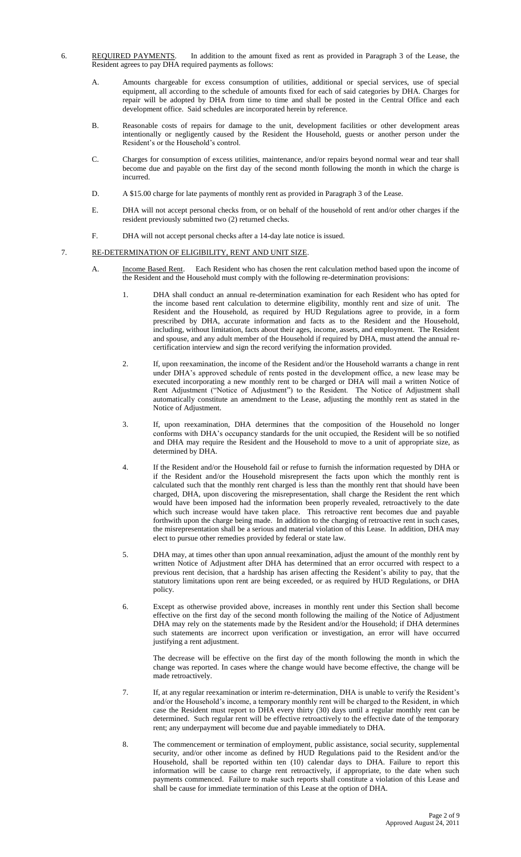- 6. REQUIRED PAYMENTS. In addition to the amount fixed as rent as provided in Paragraph 3 of the Lease, the Resident agrees to pay DHA required payments as follows:
	- A. Amounts chargeable for excess consumption of utilities, additional or special services, use of special equipment, all according to the schedule of amounts fixed for each of said categories by DHA. Charges for repair will be adopted by DHA from time to time and shall be posted in the Central Office and each development office. Said schedules are incorporated herein by reference.
	- B. Reasonable costs of repairs for damage to the unit, development facilities or other development areas intentionally or negligently caused by the Resident the Household, guests or another person under the Resident's or the Household's control.
	- C. Charges for consumption of excess utilities, maintenance, and/or repairs beyond normal wear and tear shall become due and payable on the first day of the second month following the month in which the charge is incurred.
	- D. A \$15.00 charge for late payments of monthly rent as provided in Paragraph 3 of the Lease.
	- E. DHA will not accept personal checks from, or on behalf of the household of rent and/or other charges if the resident previously submitted two (2) returned checks.
	- F. DHA will not accept personal checks after a 14-day late notice is issued.

# 7. RE-DETERMINATION OF ELIGIBILITY, RENT AND UNIT SIZE.

- A. Income Based Rent. Each Resident who has chosen the rent calculation method based upon the income of the Resident and the Household must comply with the following re-determination provisions:
	- DHA shall conduct an annual re-determination examination for each Resident who has opted for the income based rent calculation to determine eligibility, monthly rent and size of unit. The Resident and the Household, as required by HUD Regulations agree to provide, in a form prescribed by DHA, accurate information and facts as to the Resident and the Household, including, without limitation, facts about their ages, income, assets, and employment. The Resident and spouse, and any adult member of the Household if required by DHA, must attend the annual recertification interview and sign the record verifying the information provided.
	- 2. If, upon reexamination, the income of the Resident and/or the Household warrants a change in rent under DHA's approved schedule of rents posted in the development office, a new lease may be executed incorporating a new monthly rent to be charged or DHA will mail a written Notice of Rent Adjustment ("Notice of Adjustment") to the Resident. The Notice of Adjustment shall automatically constitute an amendment to the Lease, adjusting the monthly rent as stated in the Notice of Adjustment.
	- 3. If, upon reexamination, DHA determines that the composition of the Household no longer conforms with DHA's occupancy standards for the unit occupied, the Resident will be so notified and DHA may require the Resident and the Household to move to a unit of appropriate size, as determined by DHA.
	- 4. If the Resident and/or the Household fail or refuse to furnish the information requested by DHA or if the Resident and/or the Household misrepresent the facts upon which the monthly rent is calculated such that the monthly rent charged is less than the monthly rent that should have been charged, DHA, upon discovering the misrepresentation, shall charge the Resident the rent which would have been imposed had the information been properly revealed, retroactively to the date which such increase would have taken place. This retroactive rent becomes due and payable forthwith upon the charge being made. In addition to the charging of retroactive rent in such cases, the misrepresentation shall be a serious and material violation of this Lease. In addition, DHA may elect to pursue other remedies provided by federal or state law.
	- 5. DHA may, at times other than upon annual reexamination, adjust the amount of the monthly rent by written Notice of Adjustment after DHA has determined that an error occurred with respect to a previous rent decision, that a hardship has arisen affecting the Resident's ability to pay, that the statutory limitations upon rent are being exceeded, or as required by HUD Regulations, or DHA policy.
	- 6. Except as otherwise provided above, increases in monthly rent under this Section shall become effective on the first day of the second month following the mailing of the Notice of Adjustment DHA may rely on the statements made by the Resident and/or the Household; if DHA determines such statements are incorrect upon verification or investigation, an error will have occurred justifying a rent adjustment.

The decrease will be effective on the first day of the month following the month in which the change was reported. In cases where the change would have become effective, the change will be made retroactively.

- 7. If, at any regular reexamination or interim re-determination, DHA is unable to verify the Resident's and/or the Household's income, a temporary monthly rent will be charged to the Resident, in which case the Resident must report to DHA every thirty (30) days until a regular monthly rent can be determined. Such regular rent will be effective retroactively to the effective date of the temporary rent; any underpayment will become due and payable immediately to DHA.
- 8. The commencement or termination of employment, public assistance, social security, supplemental security, and/or other income as defined by HUD Regulations paid to the Resident and/or the Household, shall be reported within ten (10) calendar days to DHA. Failure to report this information will be cause to charge rent retroactively, if appropriate, to the date when such payments commenced. Failure to make such reports shall constitute a violation of this Lease and shall be cause for immediate termination of this Lease at the option of DHA.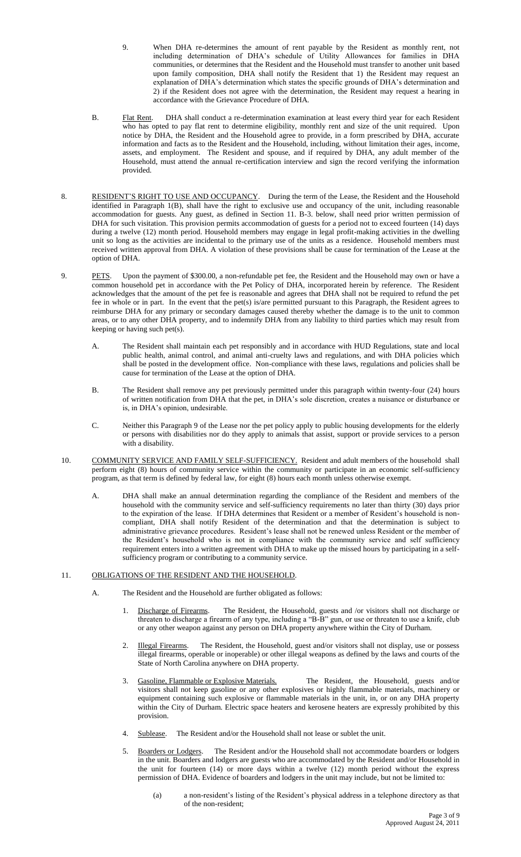- 9. When DHA re-determines the amount of rent payable by the Resident as monthly rent, not including determination of DHA's schedule of Utility Allowances for families in DHA communities, or determines that the Resident and the Household must transfer to another unit based upon family composition, DHA shall notify the Resident that 1) the Resident may request an explanation of DHA's determination which states the specific grounds of DHA's determination and 2) if the Resident does not agree with the determination, the Resident may request a hearing in accordance with the Grievance Procedure of DHA.
- B. Flat Rent. DHA shall conduct a re-determination examination at least every third year for each Resident who has opted to pay flat rent to determine eligibility, monthly rent and size of the unit required. Upon notice by DHA, the Resident and the Household agree to provide, in a form prescribed by DHA, accurate information and facts as to the Resident and the Household, including, without limitation their ages, income, assets, and employment. The Resident and spouse, and if required by DHA, any adult member of the Household, must attend the annual re-certification interview and sign the record verifying the information provided.
- 8. RESIDENT'S RIGHT TO USE AND OCCUPANCY.During the term of the Lease, the Resident and the Household identified in Paragraph 1(B), shall have the right to exclusive use and occupancy of the unit, including reasonable accommodation for guests. Any guest, as defined in Section 11. B-3. below, shall need prior written permission of DHA for such visitation. This provision permits accommodation of guests for a period not to exceed fourteen (14) days during a twelve (12) month period. Household members may engage in legal profit-making activities in the dwelling unit so long as the activities are incidental to the primary use of the units as a residence. Household members must received written approval from DHA. A violation of these provisions shall be cause for termination of the Lease at the option of DHA.
- 9. PETS. Upon the payment of \$300.00, a non-refundable pet fee, the Resident and the Household may own or have a common household pet in accordance with the Pet Policy of DHA, incorporated herein by reference. The Resident acknowledges that the amount of the pet fee is reasonable and agrees that DHA shall not be required to refund the pet fee in whole or in part. In the event that the pet(s) is/are permitted pursuant to this Paragraph, the Resident agrees to reimburse DHA for any primary or secondary damages caused thereby whether the damage is to the unit to common areas, or to any other DHA property, and to indemnify DHA from any liability to third parties which may result from keeping or having such pet $(s)$ .
	- A. The Resident shall maintain each pet responsibly and in accordance with HUD Regulations, state and local public health, animal control, and animal anti-cruelty laws and regulations, and with DHA policies which shall be posted in the development office. Non-compliance with these laws, regulations and policies shall be cause for termination of the Lease at the option of DHA.
	- B. The Resident shall remove any pet previously permitted under this paragraph within twenty-four (24) hours of written notification from DHA that the pet, in DHA's sole discretion, creates a nuisance or disturbance or is, in DHA's opinion, undesirable.
	- C. Neither this Paragraph 9 of the Lease nor the pet policy apply to public housing developments for the elderly or persons with disabilities nor do they apply to animals that assist, support or provide services to a person with a disability.
- 10. COMMUNITY SERVICE AND FAMILY SELF-SUFFICIENCY. Resident and adult members of the household shall perform eight (8) hours of community service within the community or participate in an economic self-sufficiency program, as that term is defined by federal law, for eight (8) hours each month unless otherwise exempt.
	- A. DHA shall make an annual determination regarding the compliance of the Resident and members of the household with the community service and self-sufficiency requirements no later than thirty (30) days prior to the expiration of the lease. If DHA determines that Resident or a member of Resident's household is noncompliant, DHA shall notify Resident of the determination and that the determination is subject to administrative grievance procedures. Resident's lease shall not be renewed unless Resident or the member of the Resident's household who is not in compliance with the community service and self sufficiency requirement enters into a written agreement with DHA to make up the missed hours by participating in a selfsufficiency program or contributing to a community service.

# 11. OBLIGATIONS OF THE RESIDENT AND THE HOUSEHOLD.

- A. The Resident and the Household are further obligated as follows:
	- 1. Discharge of Firearms. The Resident, the Household, guests and /or visitors shall not discharge or threaten to discharge a firearm of any type, including a "B-B" gun, or use or threaten to use a knife, club or any other weapon against any person on DHA property anywhere within the City of Durham.
	- 2. Illegal Firearms. The Resident, the Household, guest and/or visitors shall not display, use or possess illegal firearms, operable or inoperable) or other illegal weapons as defined by the laws and courts of the State of North Carolina anywhere on DHA property.
	- 3. Gasoline, Flammable or Explosive Materials. The Resident, the Household, guests and/or visitors shall not keep gasoline or any other explosives or highly flammable materials, machinery or equipment containing such explosive or flammable materials in the unit, in, or on any DHA property within the City of Durham. Electric space heaters and kerosene heaters are expressly prohibited by this provision.
	- 4. Sublease. The Resident and/or the Household shall not lease or sublet the unit.
	- Boarders or Lodgers. The Resident and/or the Household shall not accommodate boarders or lodgers in the unit. Boarders and lodgers are guests who are accommodated by the Resident and/or Household in the unit for fourteen (14) or more days within a twelve (12) month period without the express permission of DHA. Evidence of boarders and lodgers in the unit may include, but not be limited to:
		- (a) a non-resident's listing of the Resident's physical address in a telephone directory as that of the non-resident;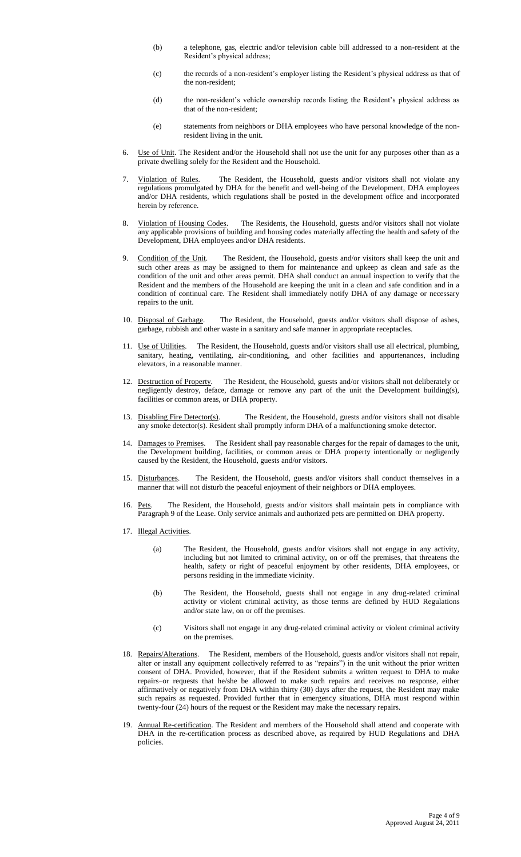- (b) a telephone, gas, electric and/or television cable bill addressed to a non-resident at the Resident's physical address;
- (c) the records of a non-resident's employer listing the Resident's physical address as that of the non-resident;
- (d) the non-resident's vehicle ownership records listing the Resident's physical address as that of the non-resident;
- (e) statements from neighbors or DHA employees who have personal knowledge of the nonresident living in the unit.
- 6. Use of Unit. The Resident and/or the Household shall not use the unit for any purposes other than as a private dwelling solely for the Resident and the Household.
- 7. Violation of Rules. The Resident, the Household, guests and/or visitors shall not violate any regulations promulgated by DHA for the benefit and well-being of the Development, DHA employees and/or DHA residents, which regulations shall be posted in the development office and incorporated herein by reference.
- 8. Violation of Housing Codes. The Residents, the Household, guests and/or visitors shall not violate any applicable provisions of building and housing codes materially affecting the health and safety of the Development, DHA employees and/or DHA residents.
- 9. Condition of the Unit. The Resident, the Household, guests and/or visitors shall keep the unit and such other areas as may be assigned to them for maintenance and upkeep as clean and safe as the condition of the unit and other areas permit. DHA shall conduct an annual inspection to verify that the Resident and the members of the Household are keeping the unit in a clean and safe condition and in a condition of continual care. The Resident shall immediately notify DHA of any damage or necessary repairs to the unit.
- 10. Disposal of Garbage. The Resident, the Household, guests and/or visitors shall dispose of ashes, garbage, rubbish and other waste in a sanitary and safe manner in appropriate receptacles.
- 11. Use of Utilities. The Resident, the Household, guests and/or visitors shall use all electrical, plumbing, sanitary, heating, ventilating, air-conditioning, and other facilities and appurtenances, including elevators, in a reasonable manner.
- 12. Destruction of Property. The Resident, the Household, guests and/or visitors shall not deliberately or negligently destroy, deface, damage or remove any part of the unit the Development building(s), facilities or common areas, or DHA property.
- 13. Disabling Fire Detector(s). The Resident, the Household, guests and/or visitors shall not disable any smoke detector(s). Resident shall promptly inform DHA of a malfunctioning smoke detector.
- 14. Damages to Premises. The Resident shall pay reasonable charges for the repair of damages to the unit, the Development building, facilities, or common areas or DHA property intentionally or negligently caused by the Resident, the Household, guests and/or visitors.
- 15. Disturbances. The Resident, the Household, guests and/or visitors shall conduct themselves in a manner that will not disturb the peaceful enjoyment of their neighbors or DHA employees.
- 16. Pets. The Resident, the Household, guests and/or visitors shall maintain pets in compliance with Paragraph 9 of the Lease. Only service animals and authorized pets are permitted on DHA property.
- 17. Illegal Activities.
	- (a) The Resident, the Household, guests and/or visitors shall not engage in any activity, including but not limited to criminal activity, on or off the premises, that threatens the health, safety or right of peaceful enjoyment by other residents, DHA employees, or persons residing in the immediate vicinity.
	- (b) The Resident, the Household, guests shall not engage in any drug-related criminal activity or violent criminal activity, as those terms are defined by HUD Regulations and/or state law, on or off the premises.
	- (c) Visitors shall not engage in any drug-related criminal activity or violent criminal activity on the premises.
- 18. Repairs/Alterations. The Resident, members of the Household, guests and/or visitors shall not repair, alter or install any equipment collectively referred to as "repairs") in the unit without the prior written consent of DHA. Provided, however, that if the Resident submits a written request to DHA to make repairs or requests that he/she be allowed to make such repairs and receives no response, either affirmatively or negatively from DHA within thirty (30) days after the request, the Resident may make such repairs as requested. Provided further that in emergency situations, DHA must respond within twenty-four (24) hours of the request or the Resident may make the necessary repairs.
- 19. Annual Re-certification. The Resident and members of the Household shall attend and cooperate with DHA in the re-certification process as described above, as required by HUD Regulations and DHA policies.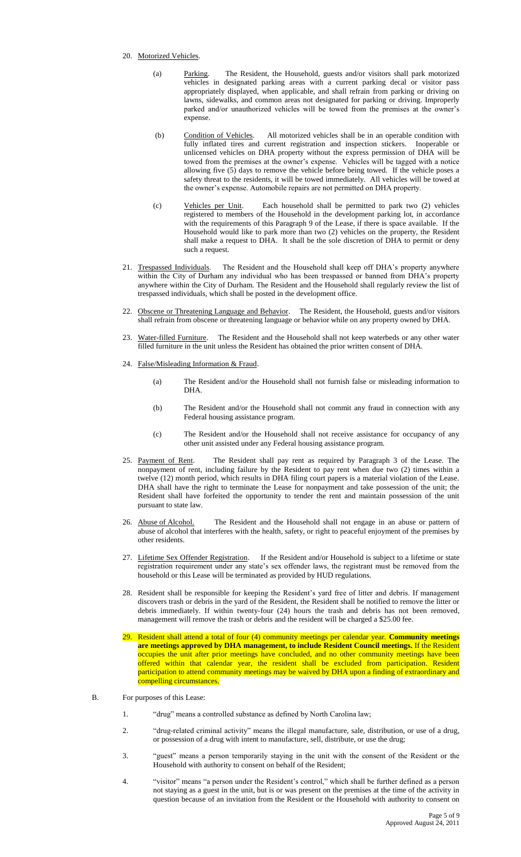#### 20. Motorized Vehicles.

- (a) Parking. The Resident, the Household, guests and/or visitors shall park motorized vehicles in designated parking areas with a current parking decal or visitor pass appropriately displayed, when applicable, and shall refrain from parking or driving on lawns, sidewalks, and common areas not designated for parking or driving. Improperly parked and/or unauthorized vehicles will be towed from the premises at the owner's expense.
- (b) Condition of Vehicles. All motorized vehicles shall be in an operable condition with fully inflated tires and current registration and inspection stickers. Inoperable or unlicensed vehicles on DHA property without the express permission of DHA will be towed from the premises at the owner's expense. Vehicles will be tagged with a notice allowing five (5) days to remove the vehicle before being towed. If the vehicle poses a safety threat to the residents, it will be towed immediately. All vehicles will be towed at the owner's expense. Automobile repairs are not permitted on DHA property.
- (c) Vehicles per Unit. Each household shall be permitted to park two (2) vehicles registered to members of the Household in the development parking lot, in accordance with the requirements of this Paragraph 9 of the Lease, if there is space available. If the Household would like to park more than two (2) vehicles on the property, the Resident shall make a request to DHA. It shall be the sole discretion of DHA to permit or deny such a request.
- 21. Trespassed Individuals. The Resident and the Household shall keep off DHA's property anywhere within the City of Durham any individual who has been trespassed or banned from DHA's property anywhere within the City of Durham. The Resident and the Household shall regularly review the list of trespassed individuals, which shall be posted in the development office.
- 22. Obscene or Threatening Language and Behavior. The Resident, the Household, guests and/or visitors shall refrain from obscene or threatening language or behavior while on any property owned by DHA.
- 23. Water-filled Furniture. The Resident and the Household shall not keep waterbeds or any other water filled furniture in the unit unless the Resident has obtained the prior written consent of DHA.
- 24. False/Misleading Information & Fraud.
	- (a) The Resident and/or the Household shall not furnish false or misleading information to DHA.
	- (b) The Resident and/or the Household shall not commit any fraud in connection with any Federal housing assistance program.
	- (c) The Resident and/or the Household shall not receive assistance for occupancy of any other unit assisted under any Federal housing assistance program.
- 25. Payment of Rent. The Resident shall pay rent as required by Paragraph 3 of the Lease. The nonpayment of rent, including failure by the Resident to pay rent when due two (2) times within a twelve (12) month period, which results in DHA filing court papers is a material violation of the Lease. DHA shall have the right to terminate the Lease for nonpayment and take possession of the unit; the Resident shall have forfeited the opportunity to tender the rent and maintain possession of the unit pursuant to state law.
- 26. Abuse of Alcohol. The Resident and the Household shall not engage in an abuse or pattern of abuse of alcohol that interferes with the health, safety, or right to peaceful enjoyment of the premises by other residents.
- 27. Lifetime Sex Offender Registration. If the Resident and/or Household is subject to a lifetime or state registration requirement under any state's sex offender laws, the registrant must be removed from the household or this Lease will be terminated as provided by HUD regulations.
- 28. Resident shall be responsible for keeping the Resident's yard free of litter and debris. If management discovers trash or debris in the yard of the Resident, the Resident shall be notified to remove the litter or debris immediately. If within twenty-four (24) hours the trash and debris has not been removed, management will remove the trash or debris and the resident will be charged a \$25.00 fee.
- 29. Resident shall attend a total of four (4) community meetings per calendar year. **Community meetings are meetings approved by DHA management, to include Resident Council meetings.** If the Resident occupies the unit after prior meetings have concluded, and no other community meetings have been offered within that calendar year, the resident shall be excluded from participation. Resident participation to attend community meetings may be waived by DHA upon a finding of extraordinary and compelling circumstances.
- B. For purposes of this Lease:
	- 1. "drug" means a controlled substance as defined by North Carolina law;
	- 2. "drug-related criminal activity" means the illegal manufacture, sale, distribution, or use of a drug, or possession of a drug with intent to manufacture, sell, distribute, or use the drug;
	- 3. "guest" means a person temporarily staying in the unit with the consent of the Resident or the Household with authority to consent on behalf of the Resident;
	- 4. "visitor" means "a person under the Resident's control," which shall be further defined as a person not staying as a guest in the unit, but is or was present on the premises at the time of the activity in question because of an invitation from the Resident or the Household with authority to consent on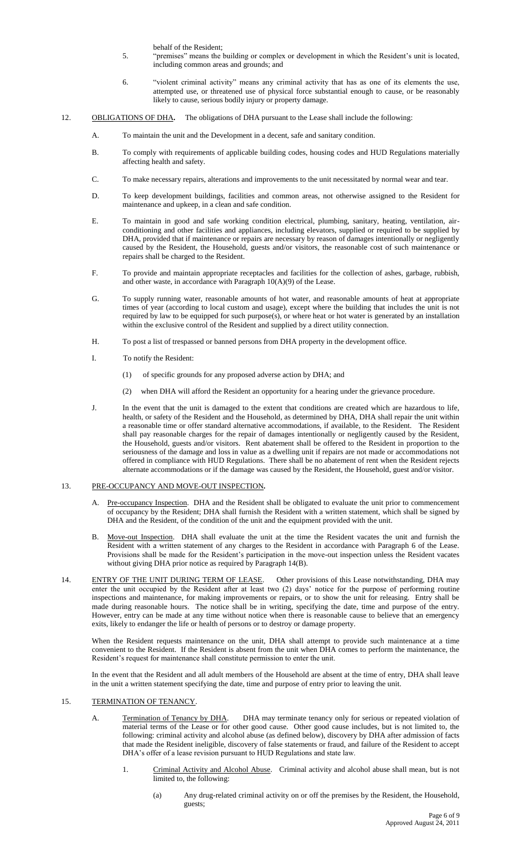behalf of the Resident;

- 5. "premises" means the building or complex or development in which the Resident's unit is located, including common areas and grounds; and
- 6. "violent criminal activity" means any criminal activity that has as one of its elements the use, attempted use, or threatened use of physical force substantial enough to cause, or be reasonably likely to cause, serious bodily injury or property damage.

## 12. OBLIGATIONS OF DHA**.** The obligations of DHA pursuant to the Lease shall include the following:

- A. To maintain the unit and the Development in a decent, safe and sanitary condition.
- B. To comply with requirements of applicable building codes, housing codes and HUD Regulations materially affecting health and safety.
- C. To make necessary repairs, alterations and improvements to the unit necessitated by normal wear and tear.
- D. To keep development buildings, facilities and common areas, not otherwise assigned to the Resident for maintenance and upkeep, in a clean and safe condition.
- E. To maintain in good and safe working condition electrical, plumbing, sanitary, heating, ventilation, airconditioning and other facilities and appliances, including elevators, supplied or required to be supplied by DHA, provided that if maintenance or repairs are necessary by reason of damages intentionally or negligently caused by the Resident, the Household, guests and/or visitors, the reasonable cost of such maintenance or repairs shall be charged to the Resident.
- F. To provide and maintain appropriate receptacles and facilities for the collection of ashes, garbage, rubbish, and other waste, in accordance with Paragraph 10(A)(9) of the Lease.
- G. To supply running water, reasonable amounts of hot water, and reasonable amounts of heat at appropriate times of year (according to local custom and usage), except where the building that includes the unit is not required by law to be equipped for such purpose(s), or where heat or hot water is generated by an installation within the exclusive control of the Resident and supplied by a direct utility connection.
- H. To post a list of trespassed or banned persons from DHA property in the development office.
- I. To notify the Resident:
	- (1) of specific grounds for any proposed adverse action by DHA; and
	- (2) when DHA will afford the Resident an opportunity for a hearing under the grievance procedure.
- J. In the event that the unit is damaged to the extent that conditions are created which are hazardous to life, health, or safety of the Resident and the Household, as determined by DHA, DHA shall repair the unit within a reasonable time or offer standard alternative accommodations, if available, to the Resident. The Resident shall pay reasonable charges for the repair of damages intentionally or negligently caused by the Resident, the Household, guests and/or visitors. Rent abatement shall be offered to the Resident in proportion to the seriousness of the damage and loss in value as a dwelling unit if repairs are not made or accommodations not offered in compliance with HUD Regulations. There shall be no abatement of rent when the Resident rejects alternate accommodations or if the damage was caused by the Resident, the Household, guest and/or visitor.

## 13. PRE-OCCUPANCY AND MOVE-OUT INSPECTION.

- A. Pre-occupancy Inspection. DHA and the Resident shall be obligated to evaluate the unit prior to commencement of occupancy by the Resident; DHA shall furnish the Resident with a written statement, which shall be signed by DHA and the Resident, of the condition of the unit and the equipment provided with the unit.
- B. Move-out Inspection. DHA shall evaluate the unit at the time the Resident vacates the unit and furnish the Resident with a written statement of any charges to the Resident in accordance with Paragraph 6 of the Lease. Provisions shall be made for the Resident's participation in the move-out inspection unless the Resident vacates without giving DHA prior notice as required by Paragraph 14(B).
- 14. ENTRY OF THE UNIT DURING TERM OF LEASE. Other provisions of this Lease notwithstanding, DHA may enter the unit occupied by the Resident after at least two (2) days' notice for the purpose of performing routine inspections and maintenance, for making improvements or repairs, or to show the unit for releasing. Entry shall be made during reasonable hours. The notice shall be in writing, specifying the date, time and purpose of the entry. However, entry can be made at any time without notice when there is reasonable cause to believe that an emergency exits, likely to endanger the life or health of persons or to destroy or damage property.

When the Resident requests maintenance on the unit, DHA shall attempt to provide such maintenance at a time convenient to the Resident. If the Resident is absent from the unit when DHA comes to perform the maintenance, the Resident's request for maintenance shall constitute permission to enter the unit.

In the event that the Resident and all adult members of the Household are absent at the time of entry, DHA shall leave in the unit a written statement specifying the date, time and purpose of entry prior to leaving the unit.

# 15. TERMINATION OF TENANCY.

- A. Termination of Tenancy by DHA. DHA may terminate tenancy only for serious or repeated violation of material terms of the Lease or for other good cause. Other good cause includes, but is not limited to, the following: criminal activity and alcohol abuse (as defined below), discovery by DHA after admission of facts that made the Resident ineligible, discovery of false statements or fraud, and failure of the Resident to accept DHA's offer of a lease revision pursuant to HUD Regulations and state law.
	- 1. Criminal Activity and Alcohol Abuse. Criminal activity and alcohol abuse shall mean, but is not limited to, the following:
		- (a) Any drug-related criminal activity on or off the premises by the Resident, the Household, guests;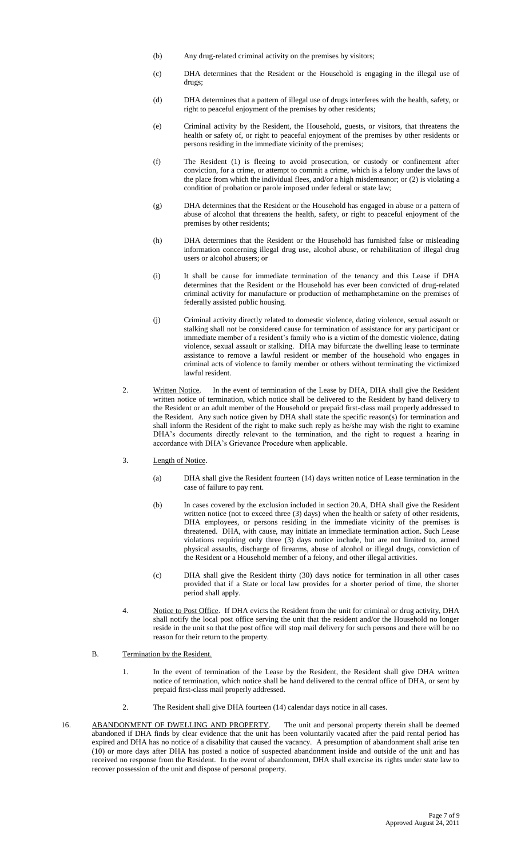- (b) Any drug-related criminal activity on the premises by visitors;
- (c) DHA determines that the Resident or the Household is engaging in the illegal use of drugs;
- (d) DHA determines that a pattern of illegal use of drugs interferes with the health, safety, or right to peaceful enjoyment of the premises by other residents;
- (e) Criminal activity by the Resident, the Household, guests, or visitors, that threatens the health or safety of, or right to peaceful enjoyment of the premises by other residents or persons residing in the immediate vicinity of the premises;
- (f) The Resident (1) is fleeing to avoid prosecution, or custody or confinement after conviction, for a crime, or attempt to commit a crime, which is a felony under the laws of the place from which the individual flees, and/or a high misdemeanor; or (2) is violating a condition of probation or parole imposed under federal or state law;
- (g) DHA determines that the Resident or the Household has engaged in abuse or a pattern of abuse of alcohol that threatens the health, safety, or right to peaceful enjoyment of the premises by other residents;
- (h) DHA determines that the Resident or the Household has furnished false or misleading information concerning illegal drug use, alcohol abuse, or rehabilitation of illegal drug users or alcohol abusers; or
- (i) It shall be cause for immediate termination of the tenancy and this Lease if DHA determines that the Resident or the Household has ever been convicted of drug-related criminal activity for manufacture or production of methamphetamine on the premises of federally assisted public housing.
- (j) Criminal activity directly related to domestic violence, dating violence, sexual assault or stalking shall not be considered cause for termination of assistance for any participant or immediate member of a resident's family who is a victim of the domestic violence, dating violence, sexual assault or stalking. DHA may bifurcate the dwelling lease to terminate assistance to remove a lawful resident or member of the household who engages in criminal acts of violence to family member or others without terminating the victimized lawful resident.
- 2. Written Notice. In the event of termination of the Lease by DHA, DHA shall give the Resident written notice of termination, which notice shall be delivered to the Resident by hand delivery to the Resident or an adult member of the Household or prepaid first-class mail properly addressed to the Resident. Any such notice given by DHA shall state the specific reason(s) for termination and shall inform the Resident of the right to make such reply as he/she may wish the right to examine DHA's documents directly relevant to the termination, and the right to request a hearing in accordance with DHA's Grievance Procedure when applicable.
- 3. Length of Notice.
	- (a) DHA shall give the Resident fourteen (14) days written notice of Lease termination in the case of failure to pay rent.
	- (b) In cases covered by the exclusion included in section 20.A, DHA shall give the Resident written notice (not to exceed three (3) days) when the health or safety of other residents, DHA employees, or persons residing in the immediate vicinity of the premises is threatened. DHA, with cause, may initiate an immediate termination action. Such Lease violations requiring only three (3) days notice include, but are not limited to, armed physical assaults, discharge of firearms, abuse of alcohol or illegal drugs, conviction of the Resident or a Household member of a felony, and other illegal activities.
	- (c) DHA shall give the Resident thirty (30) days notice for termination in all other cases provided that if a State or local law provides for a shorter period of time, the shorter period shall apply.
- 4. Notice to Post Office. If DHA evicts the Resident from the unit for criminal or drug activity, DHA shall notify the local post office serving the unit that the resident and/or the Household no longer reside in the unit so that the post office will stop mail delivery for such persons and there will be no reason for their return to the property.
- B. Termination by the Resident.
	- 1. In the event of termination of the Lease by the Resident, the Resident shall give DHA written notice of termination, which notice shall be hand delivered to the central office of DHA, or sent by prepaid first-class mail properly addressed.
	- 2. The Resident shall give DHA fourteen (14) calendar days notice in all cases.
- 16. ABANDONMENT OF DWELLING AND PROPERTY. The unit and personal property therein shall be deemed abandoned if DHA finds by clear evidence that the unit has been voluntarily vacated after the paid rental period has expired and DHA has no notice of a disability that caused the vacancy. A presumption of abandonment shall arise ten (10) or more days after DHA has posted a notice of suspected abandonment inside and outside of the unit and has received no response from the Resident. In the event of abandonment, DHA shall exercise its rights under state law to recover possession of the unit and dispose of personal property.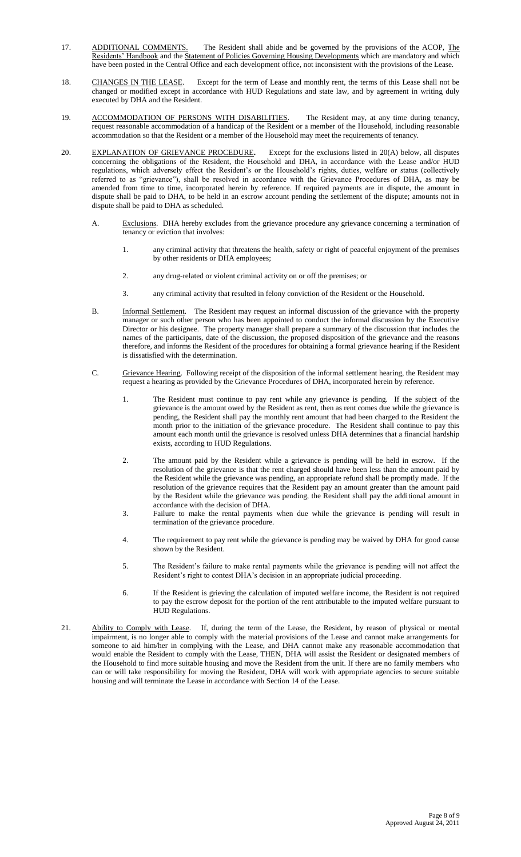- 17. ADDITIONAL COMMENTS. The Resident shall abide and be governed by the provisions of the ACOP, The Residents' Handbook and the Statement of Policies Governing Housing Developments which are mandatory and which have been posted in the Central Office and each development office, not inconsistent with the provisions of the Lease.
- 18. CHANGES IN THE LEASE. Except for the term of Lease and monthly rent, the terms of this Lease shall not be changed or modified except in accordance with HUD Regulations and state law, and by agreement in writing duly executed by DHA and the Resident.
- 19. ACCOMMODATION OF PERSONS WITH DISABILITIES. The Resident may, at any time during tenancy, request reasonable accommodation of a handicap of the Resident or a member of the Household, including reasonable accommodation so that the Resident or a member of the Household may meet the requirements of tenancy.
- 20. EXPLANATION OF GRIEVANCE PROCEDURE**.** Except for the exclusions listed in 20(A) below, all disputes concerning the obligations of the Resident, the Household and DHA, in accordance with the Lease and/or HUD regulations, which adversely effect the Resident's or the Household's rights, duties, welfare or status (collectively referred to as "grievance"), shall be resolved in accordance with the Grievance Procedures of DHA, as may be amended from time to time, incorporated herein by reference. If required payments are in dispute, the amount in dispute shall be paid to DHA, to be held in an escrow account pending the settlement of the dispute; amounts not in dispute shall be paid to DHA as scheduled.
	- A. Exclusions. DHA hereby excludes from the grievance procedure any grievance concerning a termination of tenancy or eviction that involves:
		- 1. any criminal activity that threatens the health, safety or right of peaceful enjoyment of the premises by other residents or DHA employees;
		- 2. any drug-related or violent criminal activity on or off the premises; or
		- 3. any criminal activity that resulted in felony conviction of the Resident or the Household.
	- B. Informal Settlement. The Resident may request an informal discussion of the grievance with the property manager or such other person who has been appointed to conduct the informal discussion by the Executive Director or his designee. The property manager shall prepare a summary of the discussion that includes the names of the participants, date of the discussion, the proposed disposition of the grievance and the reasons therefore, and informs the Resident of the procedures for obtaining a formal grievance hearing if the Resident is dissatisfied with the determination.
	- C. Grievance Hearing. Following receipt of the disposition of the informal settlement hearing, the Resident may request a hearing as provided by the Grievance Procedures of DHA, incorporated herein by reference.
		- The Resident must continue to pay rent while any grievance is pending. If the subject of the grievance is the amount owed by the Resident as rent, then as rent comes due while the grievance is pending, the Resident shall pay the monthly rent amount that had been charged to the Resident the month prior to the initiation of the grievance procedure. The Resident shall continue to pay this amount each month until the grievance is resolved unless DHA determines that a financial hardship exists, according to HUD Regulations.
		- 2. The amount paid by the Resident while a grievance is pending will be held in escrow. If the resolution of the grievance is that the rent charged should have been less than the amount paid by the Resident while the grievance was pending, an appropriate refund shall be promptly made. If the resolution of the grievance requires that the Resident pay an amount greater than the amount paid by the Resident while the grievance was pending, the Resident shall pay the additional amount in accordance with the decision of DHA.
		- 3. Failure to make the rental payments when due while the grievance is pending will result in termination of the grievance procedure.
		- 4. The requirement to pay rent while the grievance is pending may be waived by DHA for good cause shown by the Resident.
		- 5. The Resident's failure to make rental payments while the grievance is pending will not affect the Resident's right to contest DHA's decision in an appropriate judicial proceeding.
		- 6. If the Resident is grieving the calculation of imputed welfare income, the Resident is not required to pay the escrow deposit for the portion of the rent attributable to the imputed welfare pursuant to HUD Regulations.
- 21. Ability to Comply with Lease. If, during the term of the Lease, the Resident, by reason of physical or mental impairment, is no longer able to comply with the material provisions of the Lease and cannot make arrangements for someone to aid him/her in complying with the Lease, and DHA cannot make any reasonable accommodation that would enable the Resident to comply with the Lease, THEN, DHA will assist the Resident or designated members of the Household to find more suitable housing and move the Resident from the unit. If there are no family members who can or will take responsibility for moving the Resident, DHA will work with appropriate agencies to secure suitable housing and will terminate the Lease in accordance with Section 14 of the Lease.